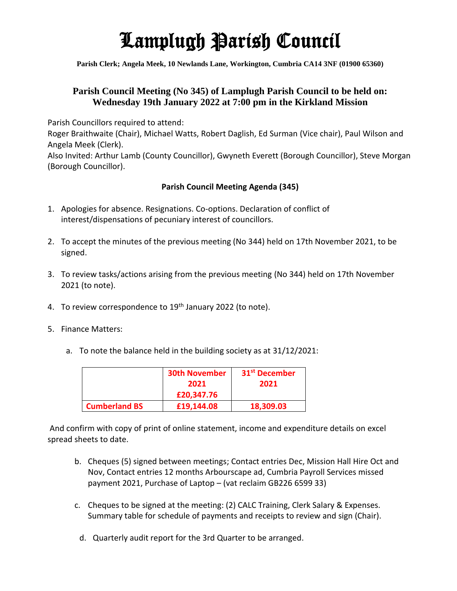## Lamplugh Parish Council

**Parish Clerk; Angela Meek, 10 Newlands Lane, Workington, Cumbria CA14 3NF (01900 65360)**

## **Parish Council Meeting (No 345) of Lamplugh Parish Council to be held on: Wednesday 19th January 2022 at 7:00 pm in the Kirkland Mission**

Parish Councillors required to attend:

Roger Braithwaite (Chair), Michael Watts, Robert Daglish, Ed Surman (Vice chair), Paul Wilson and Angela Meek (Clerk).

Also Invited: Arthur Lamb (County Councillor), Gwyneth Everett (Borough Councillor), Steve Morgan (Borough Councillor).

## **Parish Council Meeting Agenda (345)**

- 1. Apologies for absence. Resignations. Co-options. Declaration of conflict of interest/dispensations of pecuniary interest of councillors.
- 2. To accept the minutes of the previous meeting (No 344) held on 17th November 2021, to be signed.
- 3. To review tasks/actions arising from the previous meeting (No 344) held on 17th November 2021 (to note).
- 4. To review correspondence to 19<sup>th</sup> January 2022 (to note).
- 5. Finance Matters:
	- a. To note the balance held in the building society as at 31/12/2021:

|                      | <b>30th November</b> | 31 <sup>st</sup> December |
|----------------------|----------------------|---------------------------|
|                      | 2021                 | 2021                      |
|                      | £20,347.76           |                           |
| <b>Cumberland BS</b> | £19,144.08           | 18,309.03                 |

And confirm with copy of print of online statement, income and expenditure details on excel spread sheets to date.

- b. Cheques (5) signed between meetings; Contact entries Dec, Mission Hall Hire Oct and Nov, Contact entries 12 months Arbourscape ad, Cumbria Payroll Services missed payment 2021, Purchase of Laptop – (vat reclaim GB226 6599 33)
- c. Cheques to be signed at the meeting: (2) CALC Training, Clerk Salary & Expenses. Summary table for schedule of payments and receipts to review and sign (Chair).
	- d. Quarterly audit report for the 3rd Quarter to be arranged.